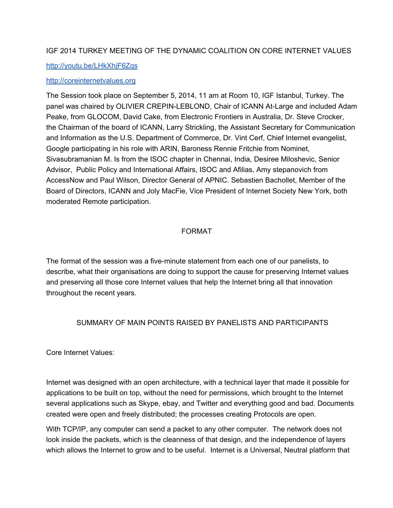# IGF 2014 TURKEY MEETING OF THE DYNAMIC COALITION ON CORE INTERNET VALUES

#### <http://youtu.be/LHkXhjF6Zqs>

#### [http://coreinternetvalues.org](http://www.google.com/url?q=http%3A%2F%2Fcoreinternetvalues.org&sa=D&sntz=1&usg=AFQjCNF-Sn7bkZH3tfCYutXlYd69sOiZJg)

The Session took place on September 5, 2014, 11 am at Room 10, IGF Istanbul, Turkey. The panel was chaired by OLIVIER CREPIN-LEBLOND, Chair of ICANN At-Large and included Adam Peake, from GLOCOM, David Cake, from Electronic Frontiers in Australia, Dr. Steve Crocker, the Chairman of the board of ICANN, Larry Strickling, the Assistant Secretary for Communication and Information as the U.S. Department of Commerce, Dr. Vint Cerf, Chief Internet evangelist, Google participating in his role with ARIN, Baroness Rennie Fritchie from Nominet, Sivasubramanian M. Is from the ISOC chapter in Chennai, India, Desiree Miloshevic, Senior Advisor, Public Policy and International Affairs, ISOC and Afilias, Amy stepanovich from AccessNow and Paul Wilson, Director General of APNIC. Sebastien Bachollet, Member of the Board of Directors, ICANN and Joly MacFie, Vice President of Internet Society New York, both moderated Remote participation.

# FORMAT

The format of the session was a five-minute statement from each one of our panelists, to describe, what their organisations are doing to support the cause for preserving Internet values and preserving all those core Internet values that help the Internet bring all that innovation throughout the recent years.

## SUMMARY OF MAIN POINTS RAISED BY PANELISTS AND PARTICIPANTS

Core Internet Values:

Internet was designed with an open architecture, with a technical layer that made it possible for applications to be built on top, without the need for permissions, which brought to the Internet several applications such as Skype, ebay, and Twitter and everything good and bad. Documents created were open and freely distributed; the processes creating Protocols are open.

With TCP/IP, any computer can send a packet to any other computer. The network does not look inside the packets, which is the cleanness of that design, and the independence of layers which allows the Internet to grow and to be useful. Internet is a Universal, Neutral platform that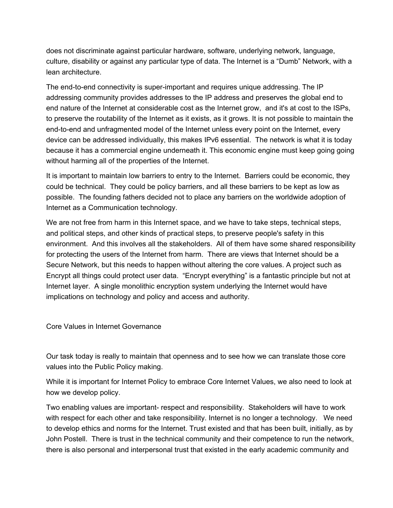does not discriminate against particular hardware, software, underlying network, language, culture, disability or against any particular type of data. The Internet is a "Dumb" Network, with a lean architecture.

The end-to-end connectivity is super-important and requires unique addressing. The IP addressing community provides addresses to the IP address and preserves the global end to end nature of the Internet at considerable cost as the Internet grow, and it's at cost to the ISPs, to preserve the routability of the Internet as it exists, as it grows. It is not possible to maintain the end-to-end and unfragmented model of the Internet unless every point on the Internet, every device can be addressed individually, this makes IPv6 essential. The network is what it is today because it has a commercial engine underneath it. This economic engine must keep going going without harming all of the properties of the Internet.

It is important to maintain low barriers to entry to the Internet. Barriers could be economic, they could be technical. They could be policy barriers, and all these barriers to be kept as low as possible. The founding fathers decided not to place any barriers on the worldwide adoption of Internet as a Communication technology.

We are not free from harm in this Internet space, and we have to take steps, technical steps, and political steps, and other kinds of practical steps, to preserve people's safety in this environment. And this involves all the stakeholders. All of them have some shared responsibility for protecting the users of the Internet from harm. There are views that Internet should be a Secure Network, but this needs to happen without altering the core values. A project such as Encrypt all things could protect user data. "Encrypt everything" is a fantastic principle but not at Internet layer. A single monolithic encryption system underlying the Internet would have implications on technology and policy and access and authority.

Core Values in Internet Governance

Our task today is really to maintain that openness and to see how we can translate those core values into the Public Policy making.

While it is important for Internet Policy to embrace Core Internet Values, we also need to look at how we develop policy.

Two enabling values are important- respect and responsibility. Stakeholders will have to work with respect for each other and take responsibility. Internet is no longer a technology. We need to develop ethics and norms for the Internet. Trust existed and that has been built, initially, as by John Postell. There is trust in the technical community and their competence to run the network, there is also personal and interpersonal trust that existed in the early academic community and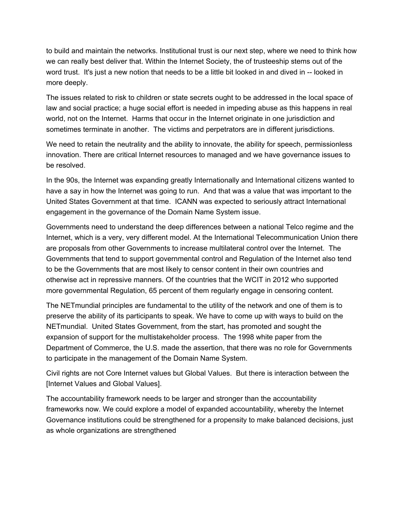to build and maintain the networks. Institutional trust is our next step, where we need to think how we can really best deliver that. Within the Internet Society, the of trusteeship stems out of the word trust. It's just a new notion that needs to be a little bit looked in and dived in -- looked in more deeply.

The issues related to risk to children or state secrets ought to be addressed in the local space of law and social practice; a huge social effort is needed in impeding abuse as this happens in real world, not on the Internet. Harms that occur in the Internet originate in one jurisdiction and sometimes terminate in another. The victims and perpetrators are in different jurisdictions.

We need to retain the neutrality and the ability to innovate, the ability for speech, permissionless innovation. There are critical Internet resources to managed and we have governance issues to be resolved.

In the 90s, the Internet was expanding greatly Internationally and International citizens wanted to have a say in how the Internet was going to run. And that was a value that was important to the United States Government at that time. ICANN was expected to seriously attract International engagement in the governance of the Domain Name System issue.

Governments need to understand the deep differences between a national Telco regime and the Internet, which is a very, very different model. At the International Telecommunication Union there are proposals from other Governments to increase multilateral control over the Internet. The Governments that tend to support governmental control and Regulation of the Internet also tend to be the Governments that are most likely to censor content in their own countries and otherwise act in repressive manners. Of the countries that the WCIT in 2012 who supported more governmental Regulation, 65 percent of them regularly engage in censoring content.

The NETmundial principles are fundamental to the utility of the network and one of them is to preserve the ability of its participants to speak. We have to come up with ways to build on the NETmundial. United States Government, from the start, has promoted and sought the expansion of support for the multistakeholder process. The 1998 white paper from the Department of Commerce, the U.S. made the assertion, that there was no role for Governments to participate in the management of the Domain Name System.

Civil rights are not Core Internet values but Global Values. But there is interaction between the [Internet Values and Global Values].

The accountability framework needs to be larger and stronger than the accountability frameworks now. We could explore a model of expanded accountability, whereby the Internet Governance institutions could be strengthened for a propensity to make balanced decisions, just as whole organizations are strengthened